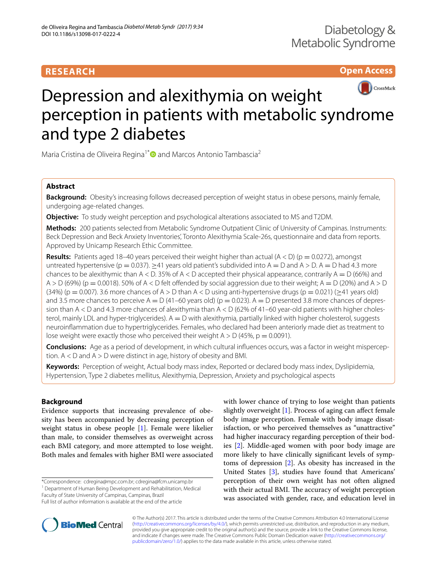## **RESEARCH**

**Open Access**



# Depression and alexithymia on weight perception in patients with metabolic syndrome and type 2 diabetes

Maria Cristina de Oliveira Regina<sup>1\*</sup> and Marcos Antonio Tambascia<sup>2</sup>

## **Abstract**

**Background:** Obesity's increasing follows decreased perception of weight status in obese persons, mainly female, undergoing age-related changes.

**Objective:** To study weight perception and psychological alterations associated to MS and T2DM.

**Methods:** 200 patients selected from Metabolic Syndrome Outpatient Clinic of University of Campinas. Instruments: Beck Depression and Beck Anxiety Inventories', Toronto Alexithymia Scale-26s, questionnaire and data from reports. Approved by Unicamp Research Ethic Committee.

**Results:** Patients aged 18–40 years perceived their weight higher than actual  $(A < D)$  ( $p = 0.0272$ ), amongst untreated hypertensive ( $p = 0.037$ ).  $\geq$ 41 years old patient's subdivided into A = D and A > D. A = D had 4.3 more chances to be alexithymic than  $A < D$ . 35% of  $A < D$  accepted their physical appearance, contrarily  $A = D$  (66%) and  $A > D$  (69%) (p = 0.0018). 50% of  $A < D$  felt offended by social aggression due to their weight; A = D (20%) and A > D (34%) (p = 0.007). 3.6 more chances of A > D than A < D using anti-hypertensive drugs (p = 0.021) ( $\geq$ 41 years old) and 3.5 more chances to perceive  $A = D(41-60$  years old) ( $p = 0.023$ ).  $A = D$  presented 3.8 more chances of depression than  $A < D$  and 4.3 more chances of alexithymia than  $A < D$  (62% of 41–60 year-old patients with higher cholesterol, mainly LDL and hyper-triglycerides).  $A = D$  with alexithymia, partially linked with higher cholesterol, suggests neuroinfammation due to hypertriglycerides. Females, who declared had been anteriorly made diet as treatment to lose weight were exactly those who perceived their weight  $A > D$  (45%, p = 0.0091).

**Conclusions:** Age as a period of development, in which cultural infuences occurs, was a factor in weight misperception. A < D and A > D were distinct in age, history of obesity and BMI.

**Keywords:** Perception of weight, Actual body mass index, Reported or declared body mass index, Dyslipidemia, Hypertension, Type 2 diabetes mellitus, Alexithymia, Depression, Anxiety and psychological aspects

## **Background**

Evidence supports that increasing prevalence of obesity has been accompanied by decreasing perception of weight status in obese people [\[1\]](#page-7-0). Female were likelier than male, to consider themselves as overweight across each BMI category, and more attempted to lose weight. Both males and females with higher BMI were associated

\*Correspondence: cdregina@mpc.com.br; cdregina@fcm.unicamp.br

<sup>1</sup> Department of Human Being Development and Rehabilitation, Medical Faculty of State University of Campinas, Campinas, Brazil

Full list of author information is available at the end of the article

with lower chance of trying to lose weight than patients slightly overweight [[1\]](#page-7-0). Process of aging can afect female body image perception. Female with body image dissatisfaction, or who perceived themselves as "unattractive" had higher inaccuracy regarding perception of their bodies [[2\]](#page-7-1). Middle-aged women with poor body image are more likely to have clinically signifcant levels of symptoms of depression [[2\]](#page-7-1). As obesity has increased in the United States [\[3\]](#page-7-2), studies have found that Americans' perception of their own weight has not often aligned with their actual BMI. The accuracy of weight perception was associated with gender, race, and education level in



© The Author(s) 2017. This article is distributed under the terms of the Creative Commons Attribution 4.0 International License [\(http://creativecommons.org/licenses/by/4.0/\)](http://creativecommons.org/licenses/by/4.0/), which permits unrestricted use, distribution, and reproduction in any medium, provided you give appropriate credit to the original author(s) and the source, provide a link to the Creative Commons license, and indicate if changes were made. The Creative Commons Public Domain Dedication waiver ([http://creativecommons.org/](http://creativecommons.org/publicdomain/zero/1.0/) [publicdomain/zero/1.0/](http://creativecommons.org/publicdomain/zero/1.0/)) applies to the data made available in this article, unless otherwise stated.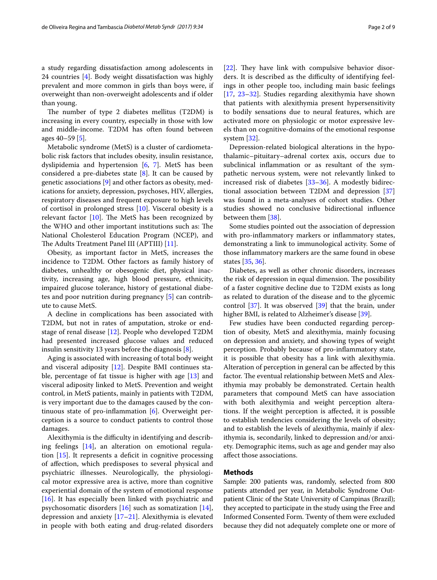a study regarding dissatisfaction among adolescents in 24 countries [\[4](#page-7-3)]. Body weight dissatisfaction was highly prevalent and more common in girls than boys were, if overweight than non-overweight adolescents and if older than young.

The number of type 2 diabetes mellitus (T2DM) is increasing in every country, especially in those with low and middle-income. T2DM has often found between ages 40–59 [[5\]](#page-7-4).

Metabolic syndrome (MetS) is a cluster of cardiometabolic risk factors that includes obesity, insulin resistance, dyslipidemia and hypertension [\[6](#page-7-5), [7\]](#page-7-6). MetS has been considered a pre-diabetes state  $[8]$  $[8]$ . It can be caused by genetic associations [\[9](#page-7-8)] and other factors as obesity, medications for anxiety, depression, psychoses, HIV, allergies, respiratory diseases and frequent exposure to high levels of cortisol in prolonged stress [[10\]](#page-7-9). Visceral obesity is a relevant factor  $[10]$ . The MetS has been recognized by the WHO and other important institutions such as: The National Cholesterol Education Program (NCEP), and The Adults Treatment Panel III (APTIII) [\[11](#page-7-10)].

Obesity, as important factor in MetS, increases the incidence to T2DM. Other factors as family history of diabetes, unhealthy or obesogenic diet, physical inactivity, increasing age, high blood pressure, ethnicity, impaired glucose tolerance, history of gestational diabetes and poor nutrition during pregnancy [\[5](#page-7-4)] can contribute to cause MetS.

A decline in complications has been associated with T2DM, but not in rates of amputation, stroke or endstage of renal disease [[12\]](#page-7-11). People who developed T2DM had presented increased glucose values and reduced insulin sensitivity 13 years before the diagnosis [[8\]](#page-7-7).

Aging is associated with increasing of total body weight and visceral adiposity [[12\]](#page-7-11). Despite BMI continues stable, percentage of fat tissue is higher with age [[13](#page-7-12)] and visceral adiposity linked to MetS. Prevention and weight control, in MetS patients, mainly in patients with T2DM, is very important due to the damages caused by the continuous state of pro-infammation [[6\]](#page-7-5). Overweight perception is a source to conduct patients to control those damages.

Alexithymia is the difficulty in identifying and describing feelings [[14](#page-7-13)], an alteration on emotional regulation  $[15]$  $[15]$ . It represents a deficit in cognitive processing of afection, which predisposes to several physical and psychiatric illnesses. Neurologically, the physiological motor expressive area is active, more than cognitive experiential domain of the system of emotional response [[16\]](#page-7-15). It has especially been linked with psychiatric and psychosomatic disorders [[16\]](#page-7-15) such as somatization [\[14](#page-7-13)], depression and anxiety [\[17–](#page-7-16)[21\]](#page-7-17). Alexithymia is elevated in people with both eating and drug-related disorders  $[22]$  $[22]$ . They have link with compulsive behavior disorders. It is described as the difficulty of identifying feelings in other people too, including main basic feelings [[17,](#page-7-16) [23](#page-7-19)–[32\]](#page-8-0). Studies regarding alexithymia have shown that patients with alexithymia present hypersensitivity to bodily sensations due to neural features, which are activated more on physiologic or motor expressive levels than on cognitive-domains of the emotional response system [[32\]](#page-8-0).

Depression-related biological alterations in the hypothalamic–pituitary–adrenal cortex axis, occurs due to subclinical infammation or as resultant of the sympathetic nervous system, were not relevantly linked to increased risk of diabetes [[33](#page-8-1)[–36](#page-8-2)]. A modestly bidirectional association between T2DM and depression [[37](#page-8-3)] was found in a meta-analyses of cohort studies. Other studies showed no conclusive bidirectional infuence between them [\[38](#page-8-4)].

Some studies pointed out the association of depression with pro-inflammatory markers or inflammatory states, demonstrating a link to immunological activity. Some of those infammatory markers are the same found in obese states [\[35](#page-8-5), [36](#page-8-2)].

Diabetes, as well as other chronic disorders, increases the risk of depression in equal dimension. The possibility of a faster cognitive decline due to T2DM exists as long as related to duration of the disease and to the glycemic control [\[37](#page-8-3)]. It was observed [\[39](#page-8-6)] that the brain, under higher BMI, is related to Alzheimer's disease [[39](#page-8-6)].

Few studies have been conducted regarding perception of obesity, MetS and alexithymia, mainly focusing on depression and anxiety, and showing types of weight perception. Probably because of pro-infammatory state, it is possible that obesity has a link with alexithymia. Alteration of perception in general can be afected by this factor. The eventual relationship between MetS and Alexithymia may probably be demonstrated. Certain health parameters that compound MetS can have association with both alexithymia and weight perception alterations. If the weight perception is afected, it is possible to establish tendencies considering the levels of obesity; and to establish the levels of alexithymia, mainly if alexithymia is, secondarily, linked to depression and/or anxiety. Demographic items, such as age and gender may also afect those associations.

## **Methods**

Sample: 200 patients was, randomly, selected from 800 patients attended per year, in Metabolic Syndrome Outpatient Clinic of the State University of Campinas (Brazil); they accepted to participate in the study using the Free and Informed Consented Form. Twenty of them were excluded because they did not adequately complete one or more of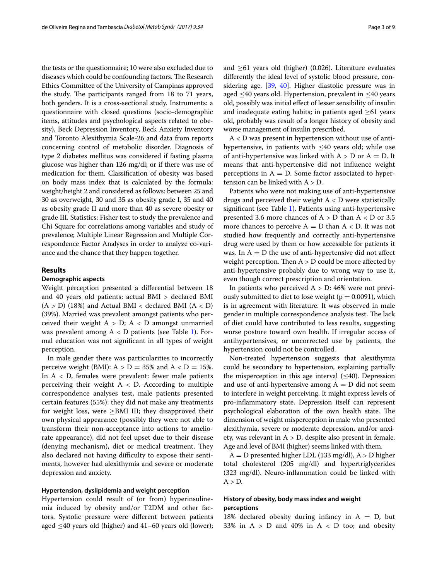the tests or the questionnaire; 10 were also excluded due to diseases which could be confounding factors. The Research Ethics Committee of the University of Campinas approved the study. The participants ranged from 18 to 71 years, both genders. It is a cross-sectional study. Instruments: a questionnaire with closed questions (socio-demographic items, attitudes and psychological aspects related to obesity), Beck Depression Inventory, Beck Anxiety Inventory and Toronto Alexithymia Scale-26 and data from reports concerning control of metabolic disorder. Diagnosis of type 2 diabetes mellitus was considered if fasting plasma glucose was higher than 126 mg/dl; or if there was use of medication for them. Classifcation of obesity was based on body mass index that is calculated by the formula: weight/height 2 and considered as follows: between 25 and 30 as overweight, 30 and 35 as obesity grade I, 35 and 40 as obesity grade II and more than 40 as severe obesity or grade III. Statistics: Fisher test to study the prevalence and Chi Square for correlations among variables and study of prevalence; Multiple Linear Regression and Multiple Correspondence Factor Analyses in order to analyze co-variance and the chance that they happen together.

#### **Results**

## **Demographic aspects**

Weight perception presented a diferential between 18 and 40 years old patients: actual BMI > declared BMI  $(A > D)$  (18%) and Actual BMI < declared BMI  $(A < D)$ (39%). Married was prevalent amongst patients who perceived their weight  $A > D$ ;  $A < D$  amongst unmarried was prevalent among  $A < D$  patients (see Table [1\)](#page-3-0). Formal education was not signifcant in all types of weight perception.

In male gender there was particularities to incorrectly perceive weight (BMI):  $A > D = 35\%$  and  $A < D = 15\%$ . In  $A < D$ , females were prevalent: fewer male patients perceiving their weight  $A < D$ . According to multiple correspondence analyses test, male patients presented certain features (55%): they did not make any treatments for weight loss, were  $\geq$ BMI III; they disapproved their own physical appearance (possibly they were not able to transform their non-acceptance into actions to ameliorate appearance), did not feel upset due to their disease (denying mechanism), diet or medical treatment. They also declared not having difficulty to expose their sentiments, however had alexithymia and severe or moderate depression and anxiety.

### **Hypertension, dyslipidemia and weight perception**

Hypertension could result of (or from) hyperinsulinemia induced by obesity and/or T2DM and other factors. Systolic pressure were diferent between patients aged  $\leq 40$  years old (higher) and 41–60 years old (lower); and  $\geq 61$  years old (higher) (0.026). Literature evaluates diferently the ideal level of systolic blood pressure, considering age. [[39,](#page-8-6) [40](#page-8-7)]. Higher diastolic pressure was in aged  $\leq 40$  years old. Hypertension, prevalent in  $\leq 40$  years old, possibly was initial efect of lesser sensibility of insulin and inadequate eating habits; in patients aged  $\geq 61$  years old, probably was result of a longer history of obesity and worse management of insulin prescribed.

A < D was present in hypertension without use of antihypertensive, in patients with  $\leq 40$  years old; while use of anti-hypertensive was linked with  $A > D$  or  $A = D$ . It means that anti-hypertensive did not infuence weight perceptions in  $A = D$ . Some factor associated to hypertension can be linked with  $A > D$ .

Patients who were not making use of anti-hypertensive drugs and perceived their weight  $A < D$  were statistically signifcant (see Table [1\)](#page-3-0). Patients using anti-hypertensive presented 3.6 more chances of  $A > D$  than  $A < D$  or 3.5 more chances to perceive  $A = D$  than  $A < D$ . It was not studied how frequently and correctly anti-hypertensive drug were used by them or how accessible for patients it was. In  $A = D$  the use of anti-hypertensive did not affect weight perception. Then  $A > D$  could be more affected by anti-hypertensive probably due to wrong way to use it, even though correct prescription and orientation.

In patients who perceived  $A > D$ : 46% were not previously submitted to diet to lose weight ( $p = 0.0091$ ), which is in agreement with literature. It was observed in male gender in multiple correspondence analysis test. The lack of diet could have contributed to less results, suggesting worse posture toward own health. If irregular access of antihypertensives, or uncorrected use by patients, the hypertension could not be controlled.

Non-treated hypertension suggests that alexithymia could be secondary to hypertension, explaining partially the misperception in this age interval  $(\leq 40)$ . Depression and use of anti-hypertensive among  $A = D$  did not seem to interfere in weight perceiving. It might express levels of pro-infammatory state. Depression itself can represent psychological elaboration of the own health state. The dimension of weight misperception in male who presented alexithymia, severe or moderate depression, and/or anxiety, was relevant in  $A > D$ , despite also present in female. Age and level of BMI (higher) seems linked with them.

 $A = D$  presented higher LDL (133 mg/dl),  $A > D$  higher total cholesterol (205 mg/dl) and hypertriglycerides (323 mg/dl). Neuro-infammation could be linked with  $A > D$ .

## **History of obesity, body mass index and weight perceptions**

18% declared obesity during infancy in  $A = D$ , but 33% in  $A > D$  and 40% in  $A < D$  too; and obesity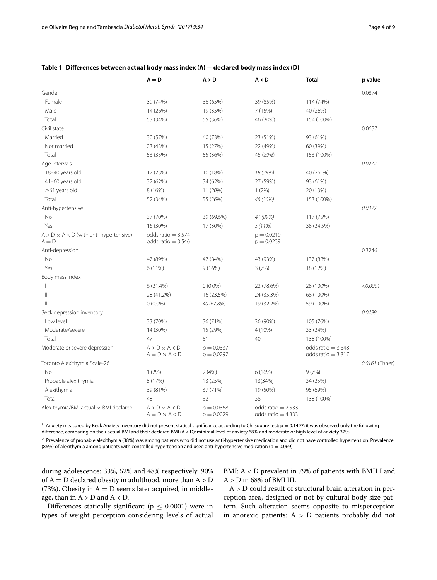|                                                          | $A = D$                                        | A > D                        | A < D                                        | <b>Total</b>                                 | p value         |
|----------------------------------------------------------|------------------------------------------------|------------------------------|----------------------------------------------|----------------------------------------------|-----------------|
| Gender                                                   |                                                |                              |                                              |                                              | 0.0874          |
| Female                                                   | 39 (74%)                                       | 36 (65%)                     | 39 (85%)                                     | 114 (74%)                                    |                 |
| Male                                                     | 14 (26%)                                       | 19 (35%)                     | 7 (15%)                                      | 40 (26%)                                     |                 |
| Total                                                    | 53 (34%)                                       | 55 (36%)                     | 46 (30%)                                     | 154 (100%)                                   |                 |
| Civil state                                              |                                                |                              |                                              |                                              | 0.0657          |
| Married                                                  | 30 (57%)                                       | 40 (73%)                     | 23 (51%)                                     | 93 (61%)                                     |                 |
| Not married                                              | 23 (43%)                                       | 15 (27%)                     | 22 (49%)                                     | 60 (39%)                                     |                 |
| Total                                                    | 53 (35%)                                       | 55 (36%)                     | 45 (29%)                                     | 153 (100%)                                   |                 |
| Age intervals                                            |                                                |                              |                                              |                                              | 0.0272          |
| 18-40 years old                                          | 12 (23%)                                       | 10 (18%)                     | 18 (39%)                                     | 40 (26. %)                                   |                 |
| 41-60 years old                                          | 32 (62%)                                       | 34 (62%)                     | 27 (59%)                                     | 93 (61%)                                     |                 |
| $\geq$ 61 years old                                      | 8 (16%)                                        | 11 (20%)                     | 1(2%)                                        | 20 (13%)                                     |                 |
| Total                                                    | 52 (34%)                                       | 55 (36%)                     | 46 (30%)                                     | 153 (100%)                                   |                 |
| Anti-hypertensive                                        |                                                |                              |                                              |                                              | 0.0372          |
| No                                                       | 37 (70%)                                       | 39 (69.6%)                   | 41 (89%)                                     | 117 (75%)                                    |                 |
| Yes                                                      | 16 (30%)                                       | 17 (30%)                     | $5(11\%)$                                    | 38 (24.5%)                                   |                 |
| $A > D \times A < D$ (with anti-hypertensive)<br>$A = D$ | odds ratio = $3.574$<br>odds ratio $=$ 3.546   |                              | $p = 0.0219$<br>$p = 0.0239$                 |                                              |                 |
| Anti-depression                                          |                                                |                              |                                              |                                              | 0.3246          |
| No                                                       | 47 (89%)                                       | 47 (84%)                     | 43 (93%)                                     | 137 (88%)                                    |                 |
| Yes                                                      | 6 (11%)                                        | 9(16%)                       | 3(7%)                                        | 18 (12%)                                     |                 |
| Body mass index                                          |                                                |                              |                                              |                                              |                 |
|                                                          | 6(21.4%)                                       | $0(0.0\%)$                   | 22 (78.6%)                                   | 28 (100%)                                    | < 0.0001        |
| $\begin{array}{c} \hline \end{array}$                    | 28 (41.2%)                                     | 16 (23.5%)                   | 24 (35.3%)                                   | 68 (100%)                                    |                 |
| $\mathbb{H}$                                             | $0(0.0\%)$                                     | 40 (67.8%)                   | 19 (32.2%)                                   | 59 (100%)                                    |                 |
| Beck depression inventory                                |                                                |                              |                                              |                                              | 0.0499          |
| Low level                                                | 33 (70%)                                       | 36 (71%)                     | 36 (90%)                                     | 105 (76%)                                    |                 |
| Moderate/severe                                          | 14 (30%)                                       | 15 (29%)                     | 4 (10%)                                      | 33 (24%)                                     |                 |
| Total                                                    | 47                                             | 51                           | 40                                           | 138 (100%)                                   |                 |
| Moderate or severe depression                            | $A > D \times A < D$<br>$A = D \times A \le D$ | $p = 0.0337$<br>$p = 0.0297$ |                                              | odds ratio = $3.648$<br>odds ratio = $3.817$ |                 |
| Toronto Alexithymia Scale-26                             |                                                |                              |                                              |                                              | 0.0161 (Fisher) |
| No                                                       | 1(2%)                                          | 2(4%)                        | 6 (16%)                                      | 9(7%)                                        |                 |
| Probable alexithymia                                     | 8 (17%)                                        | 13 (25%)                     | 13(34%)                                      | 34 (25%)                                     |                 |
| Alexithymia                                              | 39 (81%)                                       | 37 (71%)                     | 19 (50%)                                     | 95 (69%)                                     |                 |
| Total                                                    | 48                                             | 52                           | 38                                           | 138 (100%)                                   |                 |
| Alexithymia/BMI actual $\times$ BMI declared             | $A > D \times A < D$<br>$A = D \times A \le D$ | $p = 0.0368$<br>$p = 0.0029$ | odds ratio = $2.533$<br>odds ratio = $4.333$ |                                              |                 |

<span id="page-3-0"></span>**Table 1 Diferences between actual body mass index (A) − declared body mass index (D)**

<sup>a</sup> Anxiety measured by Beck Anxiety Inventory did not present statical significance according to Chi square test: p = 0.1497; it was observed only the following diference, comparing on their actual BMI and their declared BMI (A < D): minimal level of anxiety 68% and moderate or high level of anxiety 32%

<sup>b</sup> Prevalence of probable alexithymia (38%) was among patients who did not use anti-hypertensive medication and did not have controlled hypertension. Prevalence (86%) of alexithymia among patients with controlled hypertension and used anti-hypertensive medication ( $p = 0.069$ )

during adolescence: 33%, 52% and 48% respectively. 90% of  $A = D$  declared obesity in adulthood, more than  $A > D$ (73%). Obesity in  $A = D$  seems later acquired, in middleage, than in  $A > D$  and  $A < D$ .

BMI: A < D prevalent in 79% of patients with BMII I and  $A > D$  in 68% of BMI III.

Differences statically significant ( $p \leq 0.0001$ ) were in types of weight perception considering levels of actual

A > D could result of structural brain alteration in perception area, designed or not by cultural body size pattern. Such alteration seems opposite to misperception in anorexic patients:  $A > D$  patients probably did not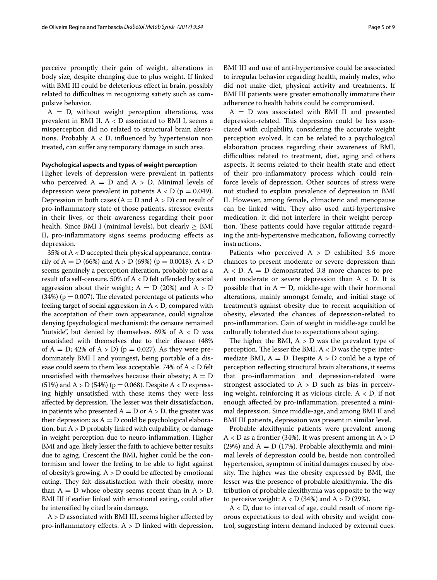perceive promptly their gain of weight, alterations in body size, despite changing due to plus weight. If linked with BMI III could be deleterious efect in brain, possibly related to difficulties in recognizing satiety such as compulsive behavior.

 $A = D$ , without weight perception alterations, was prevalent in BMI II. A < D associated to BMI I, seems a misperception did no related to structural brain alterations. Probably  $A < D$ , influenced by hypertension non treated, can sufer any temporary damage in such area.

#### **Psychological aspects and types of weight perception**

Higher levels of depression were prevalent in patients who perceived  $A = D$  and  $A > D$ . Minimal levels of depression were prevalent in patients  $A < D$  ( $p = 0.049$ ). Depression in both cases ( $A = D$  and  $A > D$ ) can result of pro-infammatory state of those patients, stressor events in their lives, or their awareness regarding their poor health. Since BMI I (minimal levels), but clearly  $\geq$  BMI II, pro-infammatory signs seems producing efects as depression.

35% of A < D accepted their physical appearance, contrarily of A = D (66%) and A > D (69%) (p = 0.0018). A < D seems genuinely a perception alteration, probably not as a result of a self-censure.  $50\%$  of  $A < D$  felt offended by social aggression about their weight;  $A = D$  (20%) and  $A > D$  $(34%)$  ( $p = 0.007$ ). The elevated percentage of patients who feeling target of social aggression in  $A < D$ , compared with the acceptation of their own appearance, could signalize denying (psychological mechanism): the censure remained "outside", but denied by themselves. 69% of  $A < D$  was unsatisfed with themselves due to their disease (48% of A = D; 42% of A > D) ( $p = 0.027$ ). As they were predominately BMI I and youngest, being portable of a disease could seem to them less acceptable. 74% of  $A < D$  felt unsatisfied with themselves because their obesity;  $A = D$ (51%) and  $A > D$  (54%) ( $p = 0.068$ ). Despite  $A < D$  expressing highly unsatisfed with these items they were less affected by depression. The lesser was their dissatisfaction, in patients who presented  $A = D$  or  $A > D$ , the greater was their depression: as  $A = D$  could be psychological elaboration, but  $A > D$  probably linked with culpability, or damage in weight perception due to neuro-infammation. Higher BMI and age, likely lesser the faith to achieve better results due to aging. Crescent the BMI, higher could be the conformism and lower the feeling to be able to fght against of obesity's growing.  $A > D$  could be affected by emotional eating. They felt dissatisfaction with their obesity, more than  $A = D$  whose obesity seems recent than in  $A > D$ . BMI III if earlier linked with emotional eating, could after be intensifed by cited brain damage.

A > D associated with BMI III, seems higher afected by pro-inflammatory effects.  $A > D$  linked with depression, BMI III and use of anti-hypertensive could be associated to irregular behavior regarding health, mainly males, who did not make diet, physical activity and treatments. If BMI III patients were greater emotionally immature their adherence to health habits could be compromised.

 $A = D$  was associated with BMI II and presented depression-related. This depression could be less associated with culpability, considering the accurate weight perception evolved. It can be related to a psychological elaboration process regarding their awareness of BMI, difficulties related to treatment, diet, aging and others aspects. It seems related to their health state and efect of their pro-infammatory process which could reinforce levels of depression. Other sources of stress were not studied to explain prevalence of depression in BMI II. However, among female, climacteric and menopause can be linked with. They also used anti-hypertensive medication. It did not interfere in their weight perception. These patients could have regular attitude regarding the anti-hypertensive medication, following correctly instructions.

Patients who perceived  $A > D$  exhibited 3.6 more chances to present moderate or severe depression than  $A < D$ .  $A = D$  demonstrated 3.8 more chances to present moderate or severe depression than  $A < D$ . It is possible that in  $A = D$ , middle-age with their hormonal alterations, mainly amongst female, and initial stage of treatment's against obesity due to recent acquisition of obesity, elevated the chances of depression-related to pro-infammation. Gain of weight in middle-age could be culturally tolerated due to expectations about aging.

The higher the BMI,  $A > D$  was the prevalent type of perception. The lesser the BMI,  $A < D$  was the type; intermediate BMI,  $A = D$ . Despite  $A > D$  could be a type of perception refecting structural brain alterations, it seems that pro-infammation and depression-related were strongest associated to  $A > D$  such as bias in perceiving weight, reinforcing it as vicious circle.  $A < D$ , if not enough afected by pro-infammation, presented a minimal depression. Since middle-age, and among BMI II and BMI III patients, depression was present in similar level.

Probable alexithymic patients were prevalent among  $A < D$  as a frontier (34%). It was present among in  $A > D$ (29%) and  $A = D(17%)$ . Probable alexithymia and minimal levels of depression could be, beside non controlled hypertension, symptom of initial damages caused by obesity. The higher was the obesity expressed by BMI, the lesser was the presence of probable alexithymia. The distribution of probable alexithymia was opposite to the way to perceive weight:  $A < D$  (34%) and  $A > D$  (29%).

A < D, due to interval of age, could result of more rigorous expectations to deal with obesity and weight control, suggesting intern demand induced by external cues.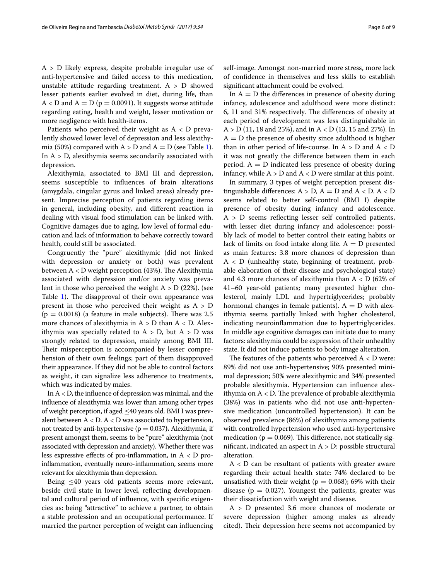$A > D$  likely express, despite probable irregular use of anti-hypertensive and failed access to this medication, unstable attitude regarding treatment.  $A > D$  showed lesser patients earlier evolved in diet, during life, than  $A < D$  and  $A = D$  ( $p = 0.0091$ ). It suggests worse attitude regarding eating, health and weight, lesser motivation or more negligence with health-items.

Patients who perceived their weight as  $A < D$  prevalently showed lower level of depression and less alexithymia (50%) compared with  $A > D$  and  $A = D$  (see Table [1](#page-3-0)). In  $A > D$ , alexithymia seems secondarily associated with depression.

Alexithymia, associated to BMI III and depression, seems susceptible to infuences of brain alterations (amygdala, cingular gyrus and linked areas) already present. Imprecise perception of patients regarding items in general, including obesity, and diferent reaction in dealing with visual food stimulation can be linked with. Cognitive damages due to aging, low level of formal education and lack of information to behave correctly toward health, could still be associated.

Congruently the "pure" alexithymic (did not linked with depression or anxiety or both) was prevalent between  $A < D$  weight perception (43%). The Alexithymia associated with depression and/or anxiety was prevalent in those who perceived the weight  $A > D$  (22%). (see Table [1\)](#page-3-0). The disapproval of their own appearance was present in those who perceived their weight as  $A > D$  $(p = 0.0018)$  (a feature in male subjects). There was 2.5 more chances of alexithymia in  $A > D$  than  $A < D$ . Alexithymia was specially related to  $A > D$ , but  $A > D$  was strongly related to depression, mainly among BMI III. Their misperception is accompanied by lesser comprehension of their own feelings; part of them disapproved their appearance. If they did not be able to control factors as weight, it can signalize less adherence to treatments, which was indicated by males.

In  $A < D$ , the influence of depression was minimal, and the infuence of alexithymia was lower than among other types of weight perception, if aged  $\leq 40$  years old. BMI I was prevalent between  $A < D$ .  $A < D$  was associated to hypertension, not treated by anti-hypertensive  $(p = 0.037)$ . Alexithymia, if present amongst them, seems to be "pure" alexithymia (not associated with depression and anxiety). Whether there was less expressive effects of pro-inflammation, in  $A < D$  proinfammation, eventually neuro-infammation, seems more relevant for alexithymia than depression.

Being  $\leq 40$  years old patients seems more relevant, beside civil state in lower level, refecting developmental and cultural period of infuence, with specifc exigencies as: being "attractive" to achieve a partner, to obtain a stable profession and an occupational performance. If married the partner perception of weight can infuencing self-image. Amongst non-married more stress, more lack of confdence in themselves and less skills to establish signifcant attachment could be evolved.

In  $A = D$  the differences in presence of obesity during infancy, adolescence and adulthood were more distinct: 6, 11 and 31% respectively. The differences of obesity at each period of development was less distinguishable in  $A > D$  (11, 18 and 25%), and in  $A < D$  (13, 15 and 27%). In  $A = D$  the presence of obesity since adulthood is higher than in other period of life-course. In  $A > D$  and  $A < D$ it was not greatly the diference between them in each period.  $A = D$  indicated less presence of obesity during infancy, while  $A > D$  and  $A < D$  were similar at this point.

In summary, 3 types of weight perception present distinguishable differences:  $A > D$ ,  $A = D$  and  $A < D$ .  $A < D$ seems related to better self-control (BMI I) despite presence of obesity during infancy and adolescence.  $A > D$  seems reflecting lesser self controlled patients, with lesser diet during infancy and adolescence: possibly lack of model to better control their eating habits or lack of limits on food intake along life.  $A = D$  presented as main features: 3.8 more chances of depression than  $A < D$  (unhealthy state, beginning of treatment, probable elaboration of their disease and psychological state) and 4.3 more chances of alexithymia than  $A < D$  (62% of 41–60 year-old patients; many presented higher cholesterol, mainly LDL and hypertriglycerides; probably hormonal changes in female patients).  $A = D$  with alexithymia seems partially linked with higher cholesterol, indicating neuroinfammation due to hypertriglycerides. In middle age cognitive damages can initiate due to many factors: alexithymia could be expression of their unhealthy state. It did not induce patients to body image alteration.

The features of the patients who perceived  $A < D$  were: 89% did not use anti-hypertensive; 90% presented minimal depression; 50% were alexithymic and 34% presented probable alexithymia. Hypertension can infuence alexithymia on  $A < D$ . The prevalence of probable alexithymia (38%) was in patients who did not use anti-hypertensive medication (uncontrolled hypertension). It can be observed prevalence (86%) of alexithymia among patients with controlled hypertension who used anti-hypertensive medication ( $p = 0.069$ ). This difference, not statically significant, indicated an aspect in  $A > D$ : possible structural alteration.

 $A < D$  can be resultant of patients with greater aware regarding their actual health state: 74% declared to be unsatisfied with their weight ( $p = 0.068$ ); 69% with their disease ( $p = 0.027$ ). Youngest the patients, greater was their dissatisfaction with weight and disease.

A > D presented 3.6 more chances of moderate or severe depression (higher among males as already cited). Their depression here seems not accompanied by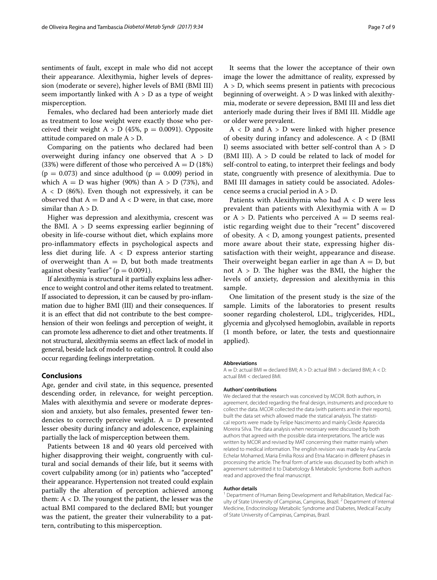Females, who declared had been anteriorly made diet as treatment to lose weight were exactly those who perceived their weight  $A > D$  (45%,  $p = 0.0091$ ). Opposite attitude compared on male  $A > D$ .

Comparing on the patients who declared had been overweight during infancy one observed that  $A > D$ (33%) were different of those who perceived  $A = D(18%)$  $(p = 0.073)$  and since adulthood  $(p = 0.009)$  period in which  $A = D$  was higher (90%) than  $A > D$  (73%), and  $A < D$  (86%). Even though not expressively, it can be observed that  $A = D$  and  $A < D$  were, in that case, more similar than  $A > D$ .

Higher was depression and alexithymia, crescent was the BMI.  $A > D$  seems expressing earlier beginning of obesity in life-course without diet, which explains more pro-infammatory efects in psychological aspects and less diet during life.  $A \lt D$  express anterior starting of overweight than  $A = D$ , but both made treatments against obesity "earlier" ( $p = 0.0091$ ).

If alexithymia is structural it partially explains less adherence to weight control and other items related to treatment. If associated to depression, it can be caused by pro-infammation due to higher BMI (III) and their consequences. If it is an efect that did not contribute to the best comprehension of their won feelings and perception of weight, it can promote less adherence to diet and other treatments. If not structural, alexithymia seems an efect lack of model in general, beside lack of model to eating-control. It could also occur regarding feelings interpretation.

## **Conclusions**

Age, gender and civil state, in this sequence, presented descending order, in relevance, for weight perception. Males with alexithymia and severe or moderate depression and anxiety, but also females, presented fewer tendencies to correctly perceive weight.  $A = D$  presented lesser obesity during infancy and adolescence, explaining partially the lack of misperception between them.

Patients between 18 and 40 years old perceived with higher disapproving their weight, congruently with cultural and social demands of their life, but it seems with covert culpability among (or in) patients who "accepted" their appearance. Hypertension not treated could explain partially the alteration of perception achieved among them:  $A < D$ . The youngest the patient, the lesser was the actual BMI compared to the declared BMI; but younger was the patient, the greater their vulnerability to a pattern, contributing to this misperception.

It seems that the lower the acceptance of their own image the lower the admittance of reality, expressed by  $A > D$ , which seems present in patients with precocious beginning of overweight.  $A > D$  was linked with alexithymia, moderate or severe depression, BMI III and less diet anteriorly made during their lives if BMI III. Middle age or older were prevalent.

 $A < D$  and  $A > D$  were linked with higher presence of obesity during infancy and adolescence.  $A < D$  (BMI I) seems associated with better self-control than  $A > D$ (BMI III).  $A > D$  could be related to lack of model for self-control to eating, to interpret their feelings and body state, congruently with presence of alexithymia. Due to BMI III damages in satiety could be associated. Adolescence seems a crucial period in A > D.

Patients with Alexithymia who had  $A < D$  were less prevalent than patients with Alexithymia with  $A = D$ or  $A > D$ . Patients who perceived  $A = D$  seems realistic regarding weight due to their "recent" discovered of obesity.  $A < D$ , among youngest patients, presented more aware about their state, expressing higher dissatisfaction with their weight, appearance and disease. Their overweight began earlier in age than  $A = D$ , but not  $A > D$ . The higher was the BMI, the higher the levels of anxiety, depression and alexithymia in this sample.

One limitation of the present study is the size of the sample. Limits of the laboratories to present results sooner regarding cholesterol, LDL, triglycerides, HDL, glycemia and glycolysed hemoglobin, available in reports (1 month before, or later, the tests and questionnaire applied).

#### **Abbreviations**

 $A = D$ : actual BMI = declared BMI:  $A > D$ : actual BMI > declared BMI:  $A < D$ : actual BMI < declared BMI.

#### **Authors' contributions**

We declared that the research was conceived by MCOR. Both authors, in agreement, decided regarding the fnal design, instruments and procedure to collect the data. MCOR collected the data (with patients and in their reports), built the data set which allowed made the statical analysis. The statistical reports were made by Felipe Nascimento and mainly Cleide Aparecida Moreira Silva. The data analysis when necessary were discussed by both authors that agreed with the possible data interpretations. The article was written by MCOR and revised by MAT concerning their matter mainly when related to medical information. The english revision was made by Ana Carola Echelar Mohamed, Maria Emilia Rossi and Etna Macario in diferent phases in processing the article. The fnal form of article was discussed by both which in agreement submitted it to Diabetology & Metabolic Syndrome. Both authors read and approved the fnal manuscript.

#### **Author details**

<sup>1</sup> Department of Human Being Development and Rehabilitation, Medical Faculty of State University of Campinas, Campinas, Brazil. <sup>2</sup> Department of Internal Medicine, Endocrinology Metabolic Syndrome and Diabetes, Medical Faculty of State University of Campinas, Campinas, Brazil.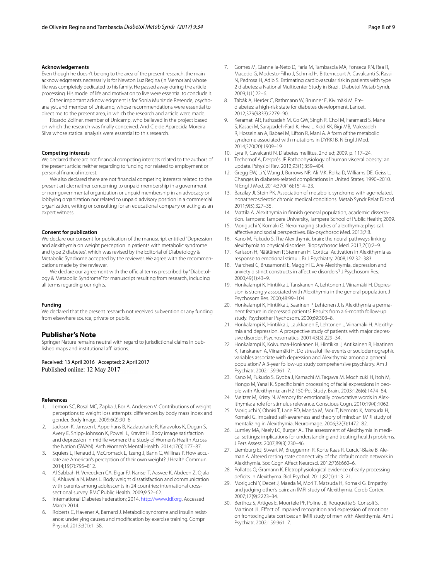#### **Acknowledgements**

Even though he doesn't belong to the area of the present research, the main acknowledgments necessarily is for Newton Luz Regina (in Memorian) whose life was completely dedicated to his family. He passed away during the article processing. His model of life and motivation to live were essential to conclude it.

Other important acknowledgment is for Sonia Muniz de Resende, psychoanalyst, and member of Unicamp, whose recommendations were essential to direct me to the present area, in which the research and article were made.

Ricardo Zollner, member of Unicamp, who believed in the project based on which the research was fnally conceived. And Cleide Aparecida Moreira Silva whose statical analysis were essential to this research.

#### **Competing interests**

We declared there are not fnancial competing interests related to the authors of the present article: neither regarding to funding nor related to employment or personal fnancial interest.

We also declared there are not fnancial competing interests related to the present article: neither concerning to unpaid membership in a government or non-governmental organization or unpaid membership in an advocacy or lobbying organization nor related to unpaid advisory position in a commercial organization, writing or consulting for an educational company or acting as an expert witness.

#### **Consent for publication**

We declare our consent for publication of the manuscript entitled "Depression and alexithymia on weight perception in patients with metabolic syndrome and type 2 diabetes", which was revised by the Editorial of Diabetology & Metabolic Syndrome accepted by the reviewer. We agree with the recommendations made by the reviewer.

We declare our agreement with the official terms prescribed by "Diabetology & Metabolic Syndrome" for manuscript resulting from research, including all terms regarding our rights.

#### **Funding**

We declared that the present research not received subvention or any funding from elsewhere source, private or public.

#### **Publisher's Note**

Springer Nature remains neutral with regard to jurisdictional claims in published maps and institutional afliations.

#### Received: 13 April 2016 Accepted: 2 April 2017 Published online: 12 May 2017

#### **References**

- <span id="page-7-0"></span>1. Lemon SC, Rosal MC, Zapka J, Bor A, Andersen V. Contributions of weight perceptions to weight loss attempts: diferences by body mass index and gender. Body Image. 2009;6(2):90–6.
- <span id="page-7-1"></span>2. Jackson K, Janssen I, Appelhans B, Kazlauskaite R, Karavolos K, Dugan S, Avery E, Shipp-Johnson K, Powell L, Kravitz H. Body image satisfaction and depression in midlife women: the Study of Women's Health Across the Nation (SWAN). Arch Women's Mental Health. 2014;17(3):177–87.
- <span id="page-7-2"></span>3. Squiers L, Renaud J, McCromack L, Tzeng J, Bann C, Willinas P. How accurate are American's perception of their own weight? J Health Commun. 2014;19(7):795–812.
- <span id="page-7-3"></span>4. Al Sabbah H, Vereecken CA, Elgar FJ, Nansel T, Aasvee K, Abdeen Z, Ojala K, Ahluwalia N, Maes L. Body weight dissatisfaction and communication with parents among adolescents in 24 countries: international crosssectional survey. BMC Public Health. 2009;9:52–62.
- <span id="page-7-4"></span>5. International Diabetes Federation; 2014. [http://www.idf.org.](http://www.idf.org) Accessed March 2014.
- <span id="page-7-5"></span>6. Roberts C, Havener A, Barnard J. Metabolic syndrome and insulin resistance: underlying causes and modifcation by exercise training. Compr Physiol. 2013;3(1):1–58.
- <span id="page-7-7"></span><span id="page-7-6"></span>8. Tabák A, Herder C, Rathmann W, Brunner E, Kivimäki M. Prediabetes: a high-risk state for diabetes development. Lancet. 2012;379(9833):2279–90.
- <span id="page-7-8"></span>9. Keramati AR, Fathzadeh M, Go GW, Singh R, Choi M, Faramarzi S, Mane S, Kasaei M, Sarajzadeh-Fard K, Hwa J, Kidd KK, Bigi MB, Malezadeh R, Hosseinian A, Babaei M, Lifton R, Mani A. A form of the metabolic syndrome associated with mutations in DYRK1B. N Engl J Med. 2014;370(20):1909–19.
- <span id="page-7-9"></span>10. Lyra R, Cavalcanti N. Diabetes mellitus. 2nd ed; 2009. p. 117–24.
- <span id="page-7-10"></span>11. Techernof A, Després JP. Pathophysiology of human visceral obesity: an update. Pshysiol Rev. 2013;93(1):359–404.
- <span id="page-7-11"></span>12. Gregg EW, Li Y, Wang J, Burrows NR, Ali MK, Rolka D, Williams DE, Geiss L. Changes in diabetes-related complications in United States, 1990–2010. N Engl J Med. 2014;370(16):1514–23.
- <span id="page-7-12"></span>13. Barzilay JI, Stein PK. Association of metabolic syndrome with age-related, nonatherosclerotic chronic medical conditions. Metab Syndr Relat Disord. 2011;9(5):327–35.
- <span id="page-7-13"></span>14. Mattila A. Alexithymia in fnnish general population, academic dissertation. Tampere: Tampere University, Tampere School of Public Health; 2009.
- <span id="page-7-14"></span>15. Moriguchi Y, Komaki G. Neroimaging studies of alexithymia: physical, afective and social perspectives. Bio-psychosoc Med. 2013;7:8.
- <span id="page-7-15"></span>16. Kano M, Fukudo S. The Alexithymic brain: the neural pathways linking alexithymia to physical disorders. Biopsychosoc Med. 2013;7(1):2–9.
- <span id="page-7-16"></span>17. Karlsson H, Näätänen P, Stenman H. Cortical Activation in Alexithymia as response to emotional stimuli. Br J Psychiatry. 2008;192:32–383.
- 18. Marchesi C, Brusamonti E, Maggini C. Are Alexithymia, depression and anxiety distinct constructs in afective disorders? J Psychosom Res. 2000;49(1):43–9.
- 19. Honkalampi K, Hintikka J, Tanskanen A, Lehtonen J, Viinamäki H. Depression is strongly associated with Alexithymia in the general population. J Psychosom Res. 2000;48:99–104.
- 20. Honkalampi K, Hintikka J, Saarinen P, Lehtonen J. Is Alexithymia a permanent feature in depressed patients? Results from a 6-month follow-up study. Psychother Psychosom. 2000;69:303–8.
- <span id="page-7-17"></span>21. Honkalampi K, Hintikka J, Laukkanen E, Lehtonen J, Viinamäki H. Alexithymia and depression. A prospective study of patients with major depressive disorder. Psychosomatics. 2001;43(3):229–34.
- <span id="page-7-18"></span>22. Honkalampi K, Koivumaa-Honkanen H, Hintikka J, Antikainen R, Haatinen K, Tanskanen A, Viinamäki H. Do stressful life-events or sociodemographic variables associate with depression and Alexithymia among a general population? A 3-year follow-up study comprehensive psychiatry. Am J Psychiatr. 2002;159:961–7.
- <span id="page-7-19"></span>23. Kano M, Fukudo S, Gyoba J, Kamachi M, Tagawa M, Mochizuki H, Itoh M, Hongo M, Yanai K. Specifc brain processing of facial expressions in people with Alexithymia: an H2 150-Pet Study. Brain. 2003;126(6):1474–84.
- 24. Meltzer M, Kristy N. Memory for emotionally provocative words in Alexithymia: a role for stimulus relevance. Conscious Cogn. 2010;19(4):1062.
- 25. Moriguchi Y, Ohnisi T, Lane RD, Maeda M, Mori T, Nemoto K, Matsuda H, Komaki G. Impaired self-awareness and theory of mind: an fMRI study of mentalizing in Alexithymia. Neuroimage. 2006;32(3):1472–82.
- 26. Lumley MA, Neely LC, Burger AJ. The assessment of Alexithymia in medical settings: implications for understanding and treating health problems. J Pers Assess. 2007;89(3):230–46.
- 27. Liemburg EJ, Stwart M, Bruggermn R, Korte Kaas R, Curcic'-Blake B, Aleman A. Altered resting state connectivity of the default mode network in Alexithymia. Soc Cogn Afect Neurosci. 2012;7(6):660–6.
- 28. Pollatos O, Gramann K. Eletrophysiological evidence of early processing defcits in Alexithyma. Biol Psychol. 2011;87(1):113–21.
- 29. Moriguchi Y, Decet J, Maeda M, Mori T, Matsuda H, Komaki G. Empathy and judging other's pain: an fMRI study of Alexithymia. Cereb Cortex. 2007;17(9):2223–34.
- 30. Berthoz S, Artiges E, Moortele PF, Poline JB, Rouquette S, Consoli S, Martinot JL. Efect of Impaired recognition and expression of emotions on frontocingulate cortices: an fMRI study of men with Alexithymia. Am J Psychiatr. 2002;159:961–7.